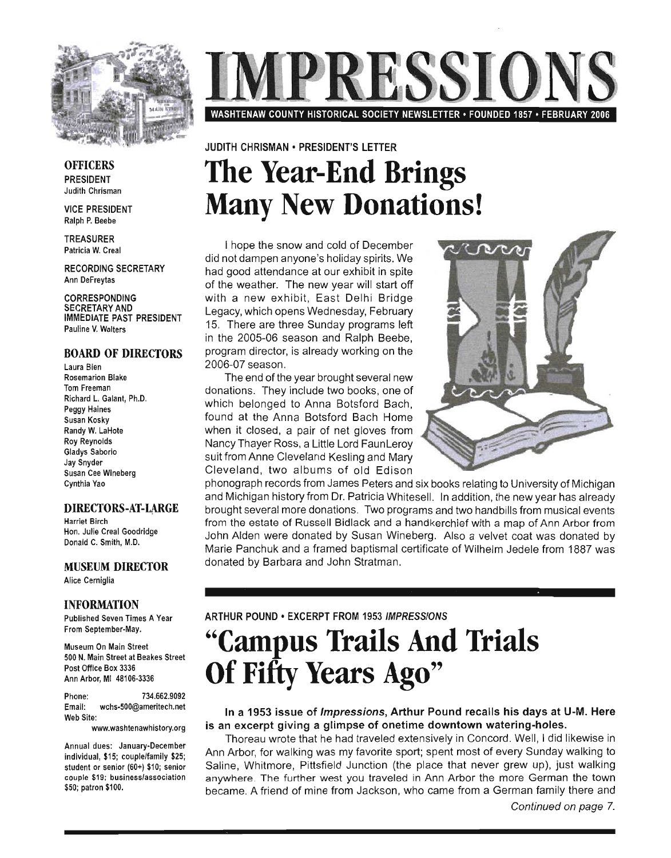

PRESSIO WASHTENAW COUNTY HISTORICAL SOCIETY NEWSLETTER · FOUNDED 1857 · FEBRUARY 2006

### JUDITH CHRISMAN • PRESIDENT'S LETTER **The Year-End Brings Many New Donations!**

I hope the snow and cold of December did not dampen anyone's holiday spirits. We had good attendance at our exhibit in spite of the weather. The new year will start off with a new exhibit, East Delhi Bridge Legacy, which opens Wednesday, February 15. There are three Sunday programs left in the 2005-06 season and Ralph Beebe, program director, is already working on the 2006-07 season.

The end of the year brought several new donations. They include two books, one of which belonged to Anna Botsford Bach, found at the Anna Botsford Bach Home when it closed, a pair of net gloves from Nancy Thayer Ross, a Little Lord FaunLeroy suit from Anne Cleveland Kesling and Mary Cleveland, two albums of old Edison



phonograph records from James Peters and six books relating to University of Michigan and Michigan history from Dr. Patricia Whitesell. In addition, the new year has already brought several more donations. Two programs and two handbills from musical events from the estate of Russell Bidlack and a handkerchief with a map of Ann Arbor from John Alden were donated by Susan Wineberg. Also a velvet coat was donated by Marie Panchuk and a framed baptismal certificate of Wilhelm Jedele from 1887 was donated by Barbara and John Stratman.

ARTHUR POUND • EXCERPT FROM 1953 IMPRESSIONS

## **"Campus Trails And Trials Of Fifty Years Ago"**

#### In a 1953 issue of Impressions, Arthur Pound recalls his days at U-M. Here is an excerpt giving a glimpse of onetime downtown watering-holes.

Thoreau wrote that he had traveled extensively in Concord. Well, I did likewise in Ann Arbor, for walking was my favorite sport; spent most of every Sunday walking to Saline, Whitmore, Pittsfield Junction (the place that never grew up), just walking anywhere. The further west you traveled in Ann Arbor the more German the town became. A friend of mine from Jackson, who came from a German family there and

OFFICERS PRESIDENT Judith Chrisman

VICE PRESIDENT Ralph P. Beebe

TREASURER Patricia W. Creal

RECORDING SECRETARY Ann DeFreytas

CORRESPONDING SECRETARY AND IMMEDIATE PAST PRESIDENT Pauline V. Walters

#### BOARD OF DIRECTORS

Laura Bien Rosemarion Blake Tom Freeman Richard L. Galant, Ph.D. Peggy Haines Susan Kosky Randy W. LaHote Roy Reynolds Gladys Saborio Jay Snyder Susan Cee Wineberg Cynthia Yao

#### DIRECTORS-AT-LARGE

Harriet Birch Hon. Julie Creal Goodridge Donald C. Smith, M.D.

### MUSEUM DIRECTOR

Alice Cerniglia

#### INFORMATION

Published Seven Times A Year From September-May.

Museum On Main Street 500 N. Main Street at Beakes Street Post Office Box 3336 Ann Arbor, MI 48106-3336

Phone: 734.662.9092 Email: wchs-500@ameritech.net Web Site:

www.washtenawhistory.org

Annual dues: January-December individual, \$15; couple/family \$25; student or senior (60+) \$10; senior couple \$19: business/association \$50; patron \$100.

Continued on page 7.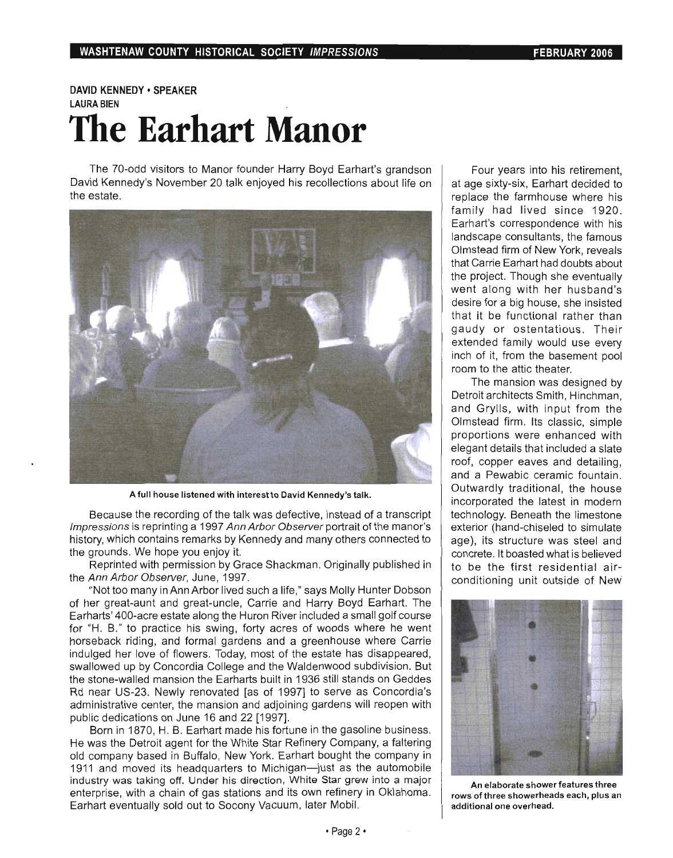### DAVID KENNEDY • SPEAKER LAURA BIEN **The Earhart Manor**

The 70-odd visitors to Manor founder Harry Boyd Earhart's grandson David Kennedy's November 20 talk enjoyed his recollections about life on the estate.



A full house listened with interest to David Kennedy's talk.

Because the recording of the talk was defective, instead of a transcript Impressions is reprinting a 1997 Ann Arbor Observer portrait of the manor's history, which contains remarks by Kennedy and many others connected to the grounds. We hope you enjoy it.

Reprinted with permission by Grace Shackman. Originally published in the Ann Arbor Observer, June, 1997.

"Not too many in Ann Arbor lived such a life," says Molly Hunter Dobson of her great-aunt and great-uncle, Carrie and Harry Boyd Earhart. The Earharts' 400-acre estate along the Huron River included a small golf course for "H. B." to practice his swing, forty acres of woods where he went horseback riding, and formal gardens and a greenhouse where Carrie indulged her love of flowers. Today, most of the estate has disappeared, swallowed up by Concordia College and the Waldenwood subdivision. But the stone-walled mansion the Earharts built in 1936 still stands on Geddes Rd near US-23. Newly renovated [as of 1997] to serve as Concordia's administrative center, the mansion and adjoining gardens will reopen with public dedications on June 16 and 22 [1997].

Born in 1870, H. B. Earhart made his fortune in the gasoline business. He was the Detroit agent for the White Star Refinery Company, a faltering old company based in Buffalo, New York. Earhart bought the company in 1911 and moved its headquarters to Michigan-just as the automobile industry was taking off. Under his direction, White Star grew into a major enterprise, with a chain of gas stations and its own refinery in Oklahoma. Earhart eventually sold out to Socony Vacuum, later Mobil.

Four years into his retirement, at age sixty-six, Earhart decided to replace the farmhouse where his family had lived since 1920. Earhart's correspondence with his landscape consultants, the famous Olmstead firm of New York, reveals that Carrie Earhart had doubts about the project. Though she eventually went along with her husband's desire for a big house, she insisted that it be functional rather than gaudy or ostentatious. Their extended family would use every inch of it, from the basement pool room to the attic theater.

The mansion was designed by Detroit architects Smith, Hinchman, and Grylls, with input from the Olmstead firm. Its classic, simple proportions were enhanced with elegant details that included a slate roof, copper eaves and detailing, and a Pewabic ceramic fountain. Outwardly traditional, the house incorporated the latest in modern technology. Beneath the limestone exterior (hand-chiseled to simulate age), its structure was steel and concrete. It boasted what is believed to be the first residential airconditioning unit outside of New



An elaborate shower features three rows of three showerheads each, plus an additional one overhead.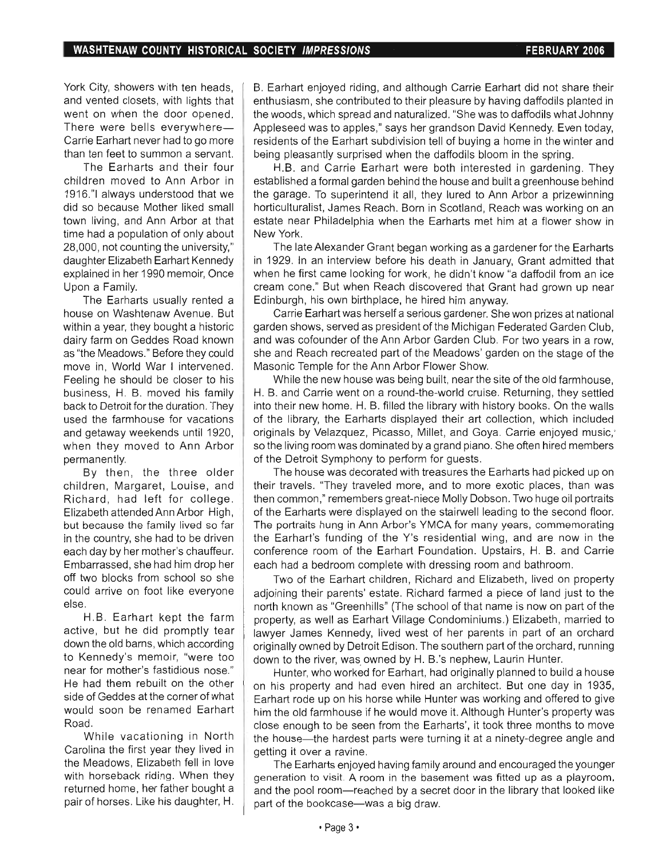York City, showers with ten heads, and vented closets, with lights that went on when the door opened. There were bells everywhere-Carrie Earhart never had to go more than ten feet to summon a servant.

The Earharts and their four children moved to Ann Arbor in 1916."1 always understood that we did so because Mother liked small town living, and Ann Arbor at that time had a population of only about 28,000, not counting the university," daughter Elizabeth Earhart Kennedy explained in her 1990 memoir, Once Upon a Family.

The Earharts usually rented a house on Washtenaw Avenue. But within a year, they bought a historic dairy farm on Geddes Road known as "the Meadows." Before they could move in, World War I intervened. Feeling he should be closer to his business, H. B. moved his family back to Detroit for the duration. They used the farmhouse for vacations and getaway weekends until 1920, when they moved to Ann Arbor permanently.

By then, the three older children, Margaret, Louise, and Richard, had left for college. Elizabeth attended Ann Arbor High, but because the family lived so far in the country, she had to be driven each day by her mother's chauffeur. Embarrassed, she had him drop her off two blocks from school so she could arrive on foot like everyone else.

H.B. Earhart kept the farm active, but he did promptly tear down the old barns, which according to Kennedy's memoir, "were too near for mother's fastidious nose." He had them rebuilt on the other side of Geddes at the corner of what would soon be renamed Earhart Road.

While vacationing in North Carolina the first year they lived in the Meadows, Elizabeth fell in love with horseback riding. When they returned home, her father bought a pair of horses. Like his daughter, H. B. Earhart enjoyed riding, and although Carrie Earhart did not share their enthusiasm, she contributed to their pleasure by having daffodils planted in the woods, which spread and naturalized. "She was to daffodils what Johnny Appleseed was to apples," says her grandson David Kennedy. Even today, residents of the Earhart subdivision tell of buying a home in the winter and being pleasantly surprised when the daffodils bloom in the spring.

H.B. and Carrie Earhart were both interested in gardening. They established a formal garden behind the house and built a greenhouse behind the garage. To superintend it all, they lured to Ann Arbor a prizewinning horticulturalist, James Reach. Born in Scotland, Reach was working on an estate near Philadelphia when the Earharts met him at a flower show in New York.

The late Alexander Grant began working as a gardener for the Earharts in 1929. In an interview before his death in January, Grant admitted that when he first came looking for work, he didn't know "a daffodil from an ice cream cone." But when Reach discovered that Grant had grown up near Edinburgh, his own birthplace, he hired him anyway.

Carrie Earhart was herself a serious gardener. She won prizes at national garden shows, served as president of the Michigan Federated Garden Club, and was cofounder of the Ann Arbor Garden Club. For two years in a row, she and Reach recreated part of the Meadows' garden on the stage of the Masonic Temple for the Ann Arbor Flower Show.

While the new house was being built, near the site of the old farmhouse, H. B. and Carrie went on a round-the-world cruise. Returning, they settled into their new home. H. B. filled the library with history books. On the walls of the library, the Earharts displayed their art collection, which included originals by Velazquez, Picasso, Millet, and Goya. Carrie enjoyed music,' so the living room was dominated by a grand piano. She often hired members of the Detroit Symphony to perform for guests.

The house was decorated with treasures the Earharts had picked up on their travels. "They traveled more, and to more exotic places, than was then common ," remembers great-niece Molly Dobson. Two huge oil portraits of the Earharts were displayed on the stairwell leading to the second floor. The portraits hung in Ann Arbor's YMCA for many years, commemorating the Earhart's funding of the Y's residential wing, and are now in the conference room of the Earhart Foundation. Upstairs, H. B. and Carrie each had a bedroom complete with dressing room and bathroom.

Two of the Earhart children, Richard and Elizabeth, lived on property adjoining their parents' estate. Richard farmed a piece of land just to the north known as "Greenhills" (The school of that name is now on part of the property, as well as Earhart Village Condominiums.) Elizabeth, married to lawyer James Kennedy, lived west of her parents in part of an orchard originally owned by Detroit Edison. The southern part of the orchard, running down to the river, was owned by H. B.'s nephew, Laurin Hunter.

Hunter, who worked for Earhart, had originally planned to build a house on his property and had even hired an architect. But one day in 1935, Earhart rode up on his horse while Hunter was working and offered to give him the old farmhouse if he would move it. Although Hunter's property was close enough to be seen from the Earharts', it took three months to move the house- the hardest parts were turning it at a ninety-degree angle and getting it over a ravine.

The Earharts enjoyed having family around and encouraged the younger generation to visit. A room in the basement was fitted up as a playroom, and the pool room-reached by a secret door in the library that looked like part of the bookcase—was a big draw.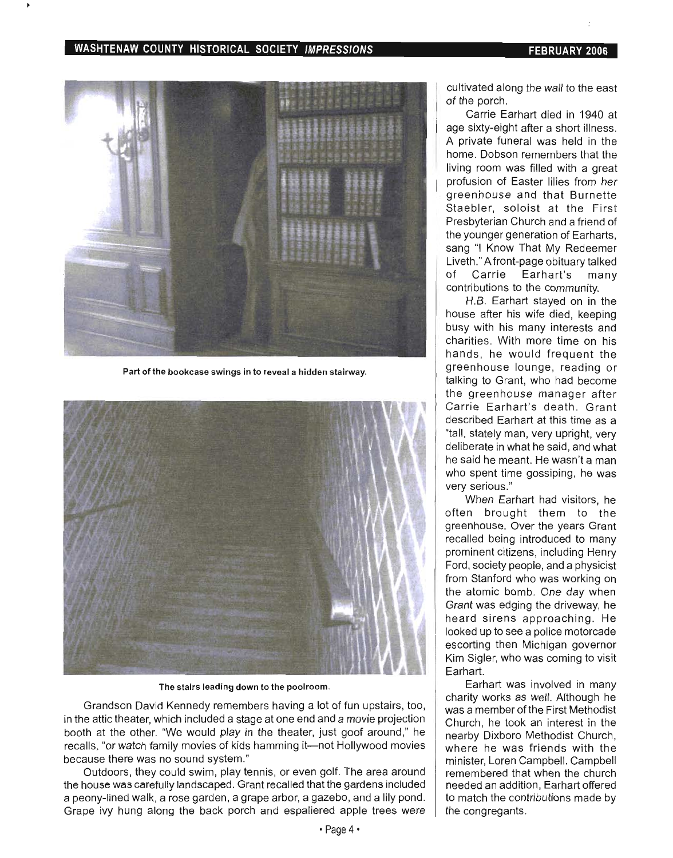#### WASHTENAW COUNTY HISTORICAL SOCIETY IMPRESSIONS FEBRUARY 2006



Part of the bookcase swings in to reveal a hidden stairway.



The stairs leading down to the poolroom.

Grandson David Kennedy remembers having a lot of fun upstairs, too, in the attic theater, which included a stage at one end and a movie projection booth at the other. "We would play in the theater, just goof around," he recalls, "or watch family movies of kids hamming it-not Hollywood movies because there was no sound system."

Outdoors, they could swim, play tennis, or even golf. The area around the house was carefully landscaped. Grant recalled that the gardens included a peony-lined walk, a rose garden, a grape arbor, a gazebo, and a lily pond. Grape ivy hung along the back porch and espaliered apple trees were

cultivated along the wall to the east of the porch.

Carrie Earhart died in 1940 at age sixty-eight after a short illness. A private funeral was held in the home. Dobson remembers that the living room was filled with a great profusion of Easter lilies from her greenhouse and that Burnette Staebler, soloist at the First Presbyterian Church and a friend of the younger generation of Earharts, sang "I Know That My Redeemer Liveth." A front-page obituary talked of Carrie Earhart's many contributions to the community.

H.B. Earhart stayed on in the house after his wife died, keeping busy with his many interests and charities. With more time on his hands, he would frequent the greenhouse lounge, reading or talking to Grant, who had become the greenhouse manager after Carrie Earhart's death. Grant described Earhart at this time as a "tall, stately man, very upright, very deliberate in what he said, and what he said he meant. He wasn't a man who spent time gossiping, he was very serious."

When Earhart had visitors, he often brought them to the greenhouse. Over the years Grant recalled being introduced to many prominent citizens, including Henry Ford, society people, and a physicist from Stanford who was working on the atomic bomb. One day when Grant was edging the driveway, he heard sirens approaching. He looked up to see a police motorcade escorting then Michigan governor Kim Sigler, who was coming to visit Earhart.

Earhart was involved in many charity works as well. Although he was a member of the First Methodist Church, he took an interest in the nearby Dixboro Methodist Church, where he was friends with the minister, Loren Campbell. Campbell remembered that when the church needed an addition, Earhart offered to match the contributions made by the congregants .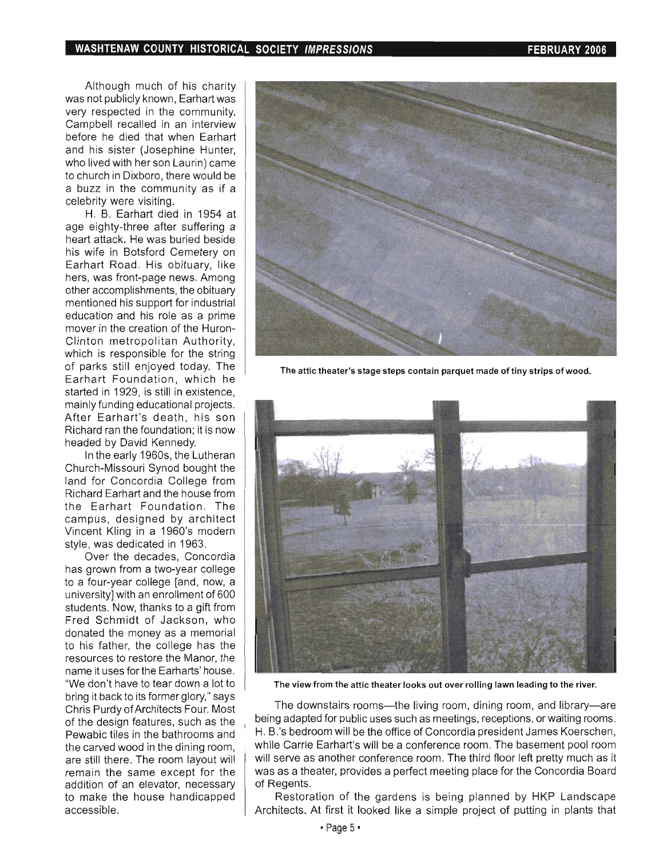#### **WASHTENAW COUNTY HISTORICAL SOCIETY IMPRESSIONS FEBRUARY 2006**

Although much of his charity was not publicly known, Earhart was very respected in the community. Campbell recalled in an interview before he died that when Earhart and his sister (Josephine Hunter, who lived with her son Laurin) came to church in Dixboro, there would be a buzz in the community as if a celebrity were visiting.

H. B. Earhart died in 1954 at age eighty-three after suffering a heart attack. He was buried beside his wife in Botsford Cemetery on Earhart Road. His obituary, like hers, was front-page news. Among other accomplishments, the obituary mentioned his support for industrial education and his role as a prime mover in the creation of the Huron-Clinton metropolitan Authority, which is responsible for the string of parks still enjoyed today. The Earhart Foundation, which he started in 1929, is still in existence, mainly funding educational projects. After Earhart's death, his son Richard ran the foundation; it is now headed by David Kennedy.

In the early 1960s, the Lutheran Church-Missouri Synod bought the land for Concordia College from Richard Earhart and the house from the Earhart Foundation. The campus, designed by architect Vincent Kling in a 1960's modern style, was dedicated in 1963.

Over the decades, Concordia has grown from a two-year college to a four-year college [and, now, a university] with an enrollment of 600 students. Now, thanks to a gift from Fred Schmidt of Jackson, who donated the money as a memorial to his father, the college has the resources to restore the Manor, the name it uses for the Earharts' house. "We don't have to tear down a lot to bring it back to its former glory," says Chris Purdy of Architects Four. Most of the design features, such as the Pewabic tiles in the bathrooms and the carved wood in the dining room. are still there. The room layout will remain the same except for the addition of an elevator, necessary to make the house handicapped accessible.



The attic theater's stage steps contain parquet made of tiny strips of wood.



The view from the attic theater looks out over rolling lawn leading to the river.

The downstairs rooms-the living room, dining room, and library-are being adapted for public uses such as meetings, receptions, or waiting rooms. H. B.'s bedroom will be the office of Concordia president James Koerschen, while Carrie Earhart's will be a conference room. The basement pool room will serve as another conference room. The third floor left pretty much as it was as a theater, provides a perfect meeting place for the Concordia Board of Regents.

Restoration of the gardens is being planned by HKP Landscape Architects. At first it looked like a simple project of putting in plants that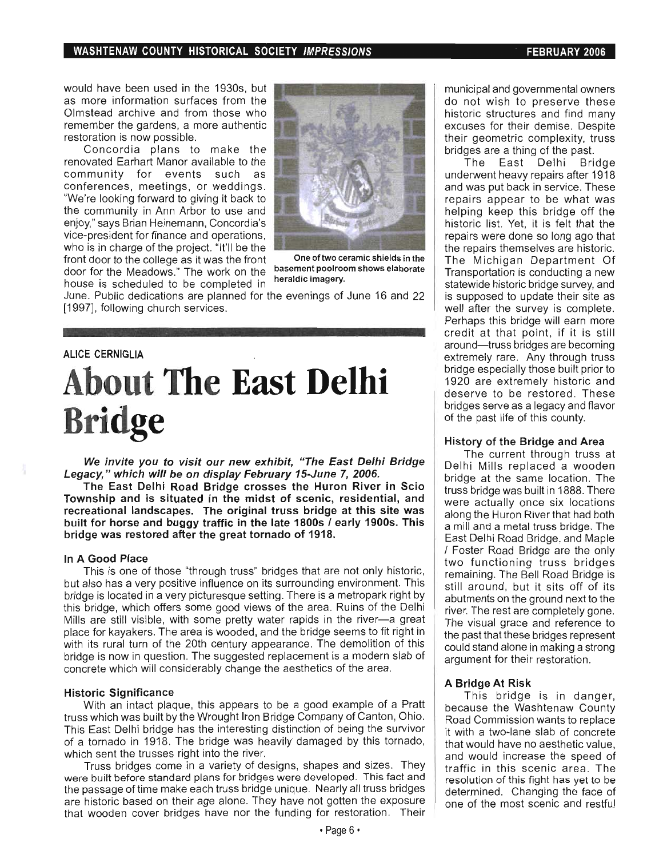#### **WASHTENAW COUNTY HISTORICAL SOCIETY IMPRESSIONS FEBRUARY 2006**

would have been used in the 1930s, but as more information surfaces from the Olmstead archive and from those who remember the gardens, a more authentic restoration is now possible.

Concordia plans to make the renovated Earhart Manor available to the community for events such as conferences, meetings, or weddings. "We're looking forward to giving it back to the community in Ann Arbor to use and enjoy," says Brian Heinemann, Concordia's vice-president for finance and operations, who is in charge of the project. "It'll be the front door to the college as it was the front One of two ceramic shields in the door for the Meadows." The work on the basement poolroom shows elaborate<br>bases is appled to be completed in **heraldic imagery**. house is scheduled to be completed in



June. Public dedications are planned for the evenings of June 16 and 22 [1997], following church services.

## **ALICE CERNIGLIA About The East Delhi Bridge**

We invite you to visit our new exhibit, "The East Delhi Bridge **Legacy, " which will be on display February 15-June 7, 2006.** 

**The East Delhi Road Bridge crosses the Huron River in Scio Township and is situated in the midst of scenic, residential, and recreational landscapes. The original truss bridge at this site was built for horse and buggy traffic in the late 1800s I early 1900s. This bridge was restored after the great tornado of 1918.** 

#### **In A Good Place**

This is one of those "through truss" bridges that are not only historic, but also has a very positive influence on its surrounding environment. This bridge is located in a very picturesque setting. There is a metropark right by this bridge, which offers some good views of the area. Ruins of the Delhi Mills are still visible, with some pretty water rapids in the river-a great place for kayakers. The area is wooded, and the bridge seems to fit right in with its rural turn of the 20th century appearance. The demolition of this bridge is now in question. The suggested replacement is a modern slab of concrete which will considerably change the aesthetics of the area.

#### **Historic Significance**

With an intact plaque, this appears to be a good example of a Pratt truss which was built by the Wrought Iron Bridge Company of Canton, Ohio. This East Delhi bridge has the interesting distinction of being the survivor of a tornado in 1918. The bridge was heavily damaged by this tornado, which sent the trusses right into the river.

Truss bridges come in a variety of designs, shapes and sizes. They were built before standard plans for bridges were developed. This fact and the passage of time make each truss bridge unique. Nearly all truss bridges are historic based on their age alone. They have not gotten the exposure that wooden cover bridges have nor the funding for restoration. Their

municipal and governmental owners do not wish to preserve these historic structures and find many excuses for their demise. Despite their geometric complexity, truss bridges are a thing of the past.

The East Delhi Bridge underwent heavy repairs after 1918 and was put back in service. These repairs appear to be what was helping keep this bridge off the historic list. Yet, it is felt that the repairs were done so long ago that the repairs themselves are historic. The Michigan Department Of Transportation is conducting a new statewide historic bridge survey, and is supposed to update their site as well after the survey is complete. Perhaps this bridge will earn more credit at that point, if it is still around- truss bridges are becoming extremely rare. Any through truss bridge especially those built prior to 1920 are extremely historic and deserve to be restored. These bridges serve as a legacy and flavor of the past life of this county.

#### **History of the Bridge and Area**

The current through truss at Delhi Mills replaced a wooden bridge at the same location. The truss bridge was built in 1888. There were actually once six locations along the Huron River that had both a mill and a metal truss bridge. The East Delhi Road Bridge, and Maple / Foster Road Bridge are the only two functioning truss bridges remaining. The Bell Road Bridge is still around, but it sits off of its abutments on the ground next to the river. The rest are completely gone. The visual grace and reference to the past that these bridges represent could stand alone in making a strong argument for their restoration.

#### **A Bridge At Risk**

This bridge is in danger, because the Washtenaw County Road Commission wants to replace it with a two-lane slab of concrete that would have no aesthetic value, and would increase the speed of traffic in this scenic area. The resolution of this fight has yet to be determined. Changing the face of one of the most scenic and restful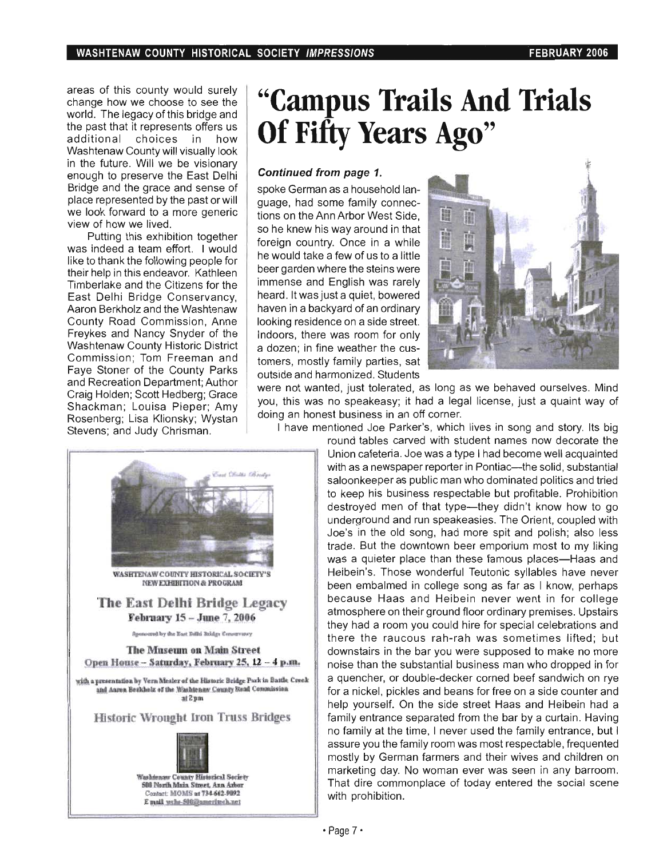areas of this county would surely change how we choose to see the world. The legacy of this bridge and the past that it represents offers us additional choices in how Washtenaw County will visually look in the future. Will we be visionary enough to preserve the East Delhi Bridge and the grace and sense of place represented by the past or will we look forward to a more generic view of how we lived.

Putting this exhibition together was indeed a team effort. I would like to thank the following people for their help in this endeavor. Kathleen Timberlake and the Citizens for the East Delhi Bridge Conservancy, Aaron Berkholz and the Washtenaw County Road Commission , Anne Freykes and Nancy Snyder of the Washtenaw County Historic District Commission; Tom Freeman and Faye Stoner of the County Parks and Recreation Department; Author Craig Holden; Scott Hedberg; Grace Shackman; Louisa Pieper; Amy Rosenberg; Lisa Klionsky; Wystan Stevens; and Judy Chrisman.

# **"Campus Trails And Trials Of Fifty Years Ago"**

#### Continued from page 1.

spoke German as a household language, had some family connections on the Ann Arbor West Side, so he knew his way around in that foreign country. Once in a while he would take a few of us to a little beer garden where the steins were immense and English was rarely heard. It was just a quiet, bowered haven in a backyard of an ordinary looking residence on a side street. Indoors, there was room for only a dozen; in fine weather the customers, mostly family parties, sat outside and harmonized. Students



were not wanted, just tolerated, as long as we behaved ourselves. Mind you, this was no speakeasy; it had a legal license, just a quaint way of doing an honest business in an off corner.

I have mentioned Joe Parker's, which lives in song and story. Its big

round tables carved with student names now decorate the Union cafeteria. Joe was a type I had become well acquainted with as a newspaper reporter in Pontiac--the solid, substantial saloonkeeper as public man who dominated politics and tried to keep his business respectable but profitable. Prohibition destroyed men of that type-they didn't know how to go underground and run speakeasies. The Orient, coupled with Joe's in the old song, had more spit and polish; also less trade. But the downtown beer emporium most to my liking was a quieter place than these famous places—Haas and Heibein's. Those wonderful Teutonic syllables have never been embalmed in college song as far as I know, perhaps because Haas and Heibein never went in for college atmosphere on their ground floor ordinary premises. Upstairs they had a room you could hire for special celebrations and there the raucous rah-rah was sometimes lifted; but downstairs in the bar you were supposed to make no more noise than the substantial business man who dropped in for a quencher, or double-decker corned beef sandwich on rye for a nickel, pickles and beans for free on a side counter and help yourself. On the side street Haas and Heibein had a family entrance separated from the bar by a curtain. Having no family at the time, I never used the family entrance, but I assure you the family room was most respectable, frequented mostly by German farmers and their wives and children on marketing day. No woman ever was seen in any barroom. That dire commonplace of today entered the social scene with prohibition.